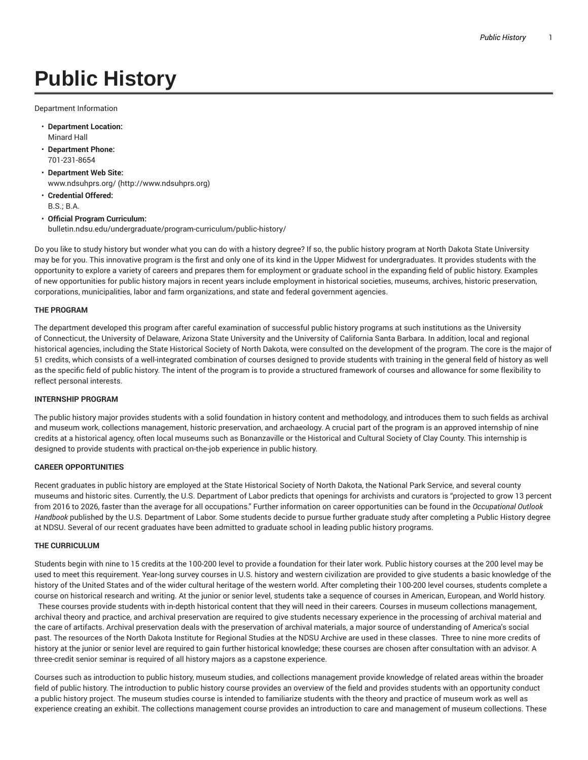# **Public History**

Department Information

- **Department Location:** Minard Hall
- **Department Phone:** 701-231-8654
- **Department Web Site:** www.ndsuhprs.org/ (http://www.ndsuhprs.org)
- **Credential Offered:** B.S.; B.A.
- **Official Program Curriculum:** bulletin.ndsu.edu/undergraduate/program-curriculum/public-history/

Do you like to study history but wonder what you can do with a history degree? If so, the public history program at North Dakota State University may be for you. This innovative program is the first and only one of its kind in the Upper Midwest for undergraduates. It provides students with the opportunity to explore a variety of careers and prepares them for employment or graduate school in the expanding field of public history. Examples of new opportunities for public history majors in recent years include employment in historical societies, museums, archives, historic preservation, corporations, municipalities, labor and farm organizations, and state and federal government agencies.

#### **THE PROGRAM**

The department developed this program after careful examination of successful public history programs at such institutions as the University of Connecticut, the University of Delaware, Arizona State University and the University of California Santa Barbara. In addition, local and regional historical agencies, including the State Historical Society of North Dakota, were consulted on the development of the program. The core is the major of 51 credits, which consists of a well-integrated combination of courses designed to provide students with training in the general field of history as well as the specific field of public history. The intent of the program is to provide a structured framework of courses and allowance for some flexibility to reflect personal interests.

### **INTERNSHIP PROGRAM**

The public history major provides students with a solid foundation in history content and methodology, and introduces them to such fields as archival and museum work, collections management, historic preservation, and archaeology. A crucial part of the program is an approved internship of nine credits at a historical agency, often local museums such as Bonanzaville or the Historical and Cultural Society of Clay County. This internship is designed to provide students with practical on-the-job experience in public history.

#### **CAREER OPPORTUNITIES**

Recent graduates in public history are employed at the State Historical Society of North Dakota, the National Park Service, and several county museums and historic sites. Currently, the U.S. Department of Labor predicts that openings for archivists and curators is "projected to grow 13 percent from 2016 to 2026, faster than the average for all occupations." Further information on career opportunities can be found in the *Occupational Outlook Handbook* published by the U.S. Department of Labor. Some students decide to pursue further graduate study after completing a Public History degree at NDSU. Several of our recent graduates have been admitted to graduate school in leading public history programs.

#### **THE CURRICULUM**

Students begin with nine to 15 credits at the 100-200 level to provide a foundation for their later work. Public history courses at the 200 level may be used to meet this requirement. Year-long survey courses in U.S. history and western civilization are provided to give students a basic knowledge of the history of the United States and of the wider cultural heritage of the western world. After completing their 100-200 level courses, students complete a course on historical research and writing. At the junior or senior level, students take a sequence of courses in American, European, and World history.

These courses provide students with in-depth historical content that they will need in their careers. Courses in museum collections management, archival theory and practice, and archival preservation are required to give students necessary experience in the processing of archival material and the care of artifacts. Archival preservation deals with the preservation of archival materials, a major source of understanding of America's social past. The resources of the North Dakota Institute for Regional Studies at the NDSU Archive are used in these classes. Three to nine more credits of history at the junior or senior level are required to gain further historical knowledge; these courses are chosen after consultation with an advisor. A three-credit senior seminar is required of all history majors as a capstone experience.

Courses such as introduction to public history, museum studies, and collections management provide knowledge of related areas within the broader field of public history. The introduction to public history course provides an overview of the field and provides students with an opportunity conduct a public history project. The museum studies course is intended to familiarize students with the theory and practice of museum work as well as experience creating an exhibit. The collections management course provides an introduction to care and management of museum collections. These